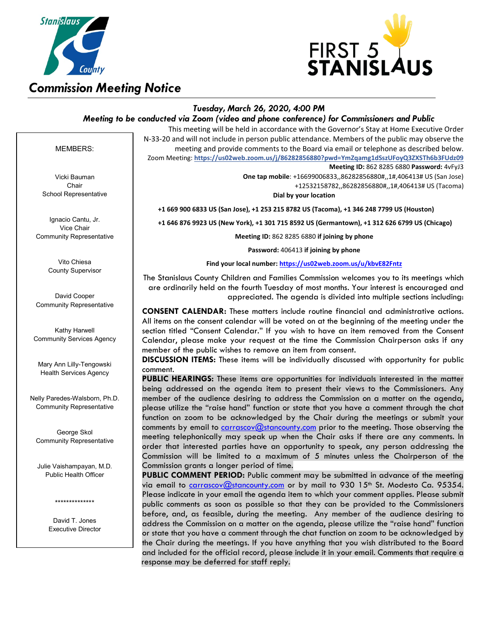



## *Tuesday, March 26, 2020, 4:00 PM*

*Meeting to be conducted via Zoom (video and phone conference) for Commissioners and Public*

This meeting will be held in accordance with the Governor's Stay at Home Executive Order N-33-20 and will not include in person public attendance. Members of the public may observe the meeting and provide comments to the Board via email or telephone as described below. Zoom Meeting: **https://us02web.zoom.us/j/86282856880?pwd=YmZqamg1dSszUFoyQ3ZXSTh6b3FUdz09**

**Meeting ID:** 862 8285 6880 **Password:** 4vFyJ3

**One tap mobile**: +16699006833,,86282856880#,,1#,406413# US (San Jose) +12532158782,,86282856880#,,1#,406413# US (Tacoma)

**Dial by your location**

 **+1 669 900 6833 US (San Jose), +1 253 215 8782 US (Tacoma), +1 346 248 7799 US (Houston)**

 **+1 646 876 9923 US (New York), +1 301 715 8592 US (Germantown), +1 312 626 6799 US (Chicago)**

**Meeting ID:** 862 8285 6880 **if joining by phone**

**Password:** 406413 **if joining by phone**

**Find your local number[: https://us02web.zoom.us/u/kbvE82Fntz](https://us02web.zoom.us/u/kbvE82Fntz)**

The Stanislaus County Children and Families Commission welcomes you to its meetings which are ordinarily held on the fourth Tuesday of most months. Your interest is encouraged and appreciated. The agenda is divided into multiple sections including:

**CONSENT CALENDAR:** These matters include routine financial and administrative actions. All items on the consent calendar will be voted on at the beginning of the meeting under the section titled "Consent Calendar." If you wish to have an item removed from the Consent Calendar, please make your request at the time the Commission Chairperson asks if any member of the public wishes to remove an item from consent.

**DISCUSSION ITEMS:** These items will be individually discussed with opportunity for public comment.

**PUBLIC HEARINGS:** These items are opportunities for individuals interested in the matter being addressed on the agenda item to present their views to the Commissioners. Any member of the audience desiring to address the Commission on a matter on the agenda, please utilize the "raise hand" function or state that you have a comment through the chat function on zoom to be acknowledged by the Chair during the meetings or submit your comments by email to *carrascov@stancounty.com* prior to the meeting. Those observing the meeting telephonically may speak up when the Chair asks if there are any comments. In order that interested parties have an opportunity to speak, any person addressing the Commission will be limited to a maximum of 5 minutes unless the Chairperson of the Commission grants a longer period of time.

**PUBLIC COMMENT PERIOD:** Public comment may be submitted in advance of the meeting via email to <u>carrascov@stancounty.com</u> or by mail to 930 15<sup>th</sup> St. Modesto Ca. 95354. Please indicate in your email the agenda item to which your comment applies. Please submit public comments as soon as possible so that they can be provided to the Commissioners before, and, as feasible, during the meeting. Any member of the audience desiring to address the Commission on a matter on the agenda, please utilize the "raise hand" function or state that you have a comment through the chat function on zoom to be acknowledged by the Chair during the meetings. If you have anything that you wish distributed to the Board and included for the official record, please include it in your email. Comments that require a response may be deferred for staff reply.

#### MEMBERS:

Vicki Bauman Chair School Representative

Ignacio Cantu, Jr. Vice Chair Community Representative

> Vito Chiesa County Supervisor

David Cooper Community Representative

Kathy Harwell Community Services Agency

Mary Ann Lilly-Tengowski Health Services Agency

Nelly Paredes-Walsborn, Ph.D. Community Representative

George Skol Community Representative

Julie Vaishampayan, M.D. Public Health Officer

\*\*\*\*\*\*\*\*\*\*\*\*\*\*

David T. Jones Executive Director